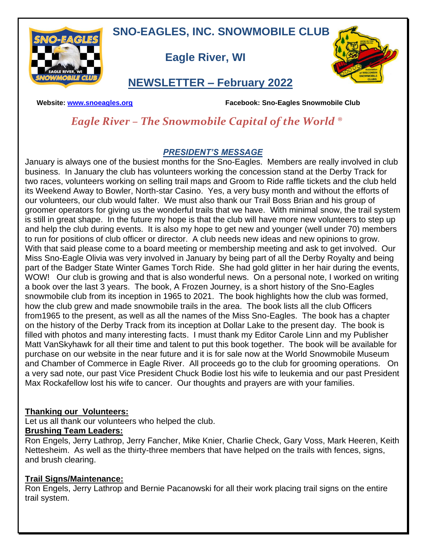**SNO-EAGLES, INC. SNOWMOBILE CLUB**



 **Eagle River, WI**



## **NEWSLETTER – February 2022**

 **Website: [www.snoeagles.org](http://www.snoeagles.org/) Facebook: Sno-Eagles Snowmobile Club**

## *Eagle River – The Snowmobile Capital of the World ®*

## *PRESIDENT'S MESSAGE*

January is always one of the busiest months for the Sno-Eagles. Members are really involved in club business. In January the club has volunteers working the concession stand at the Derby Track for two races, volunteers working on selling trail maps and Groom to Ride raffle tickets and the club held its Weekend Away to Bowler, North-star Casino. Yes, a very busy month and without the efforts of our volunteers, our club would falter. We must also thank our Trail Boss Brian and his group of groomer operators for giving us the wonderful trails that we have. With minimal snow, the trail system is still in great shape. In the future my hope is that the club will have more new volunteers to step up and help the club during events. It is also my hope to get new and younger (well under 70) members to run for positions of club officer or director. A club needs new ideas and new opinions to grow. With that said please come to a board meeting or membership meeting and ask to get involved. Our Miss Sno-Eagle Olivia was very involved in January by being part of all the Derby Royalty and being part of the Badger State Winter Games Torch Ride. She had gold glitter in her hair during the events, WOW! Our club is growing and that is also wonderful news. On a personal note, I worked on writing a book over the last 3 years. The book, A Frozen Journey, is a short history of the Sno-Eagles snowmobile club from its inception in 1965 to 2021. The book highlights how the club was formed, how the club grew and made snowmobile trails in the area. The book lists all the club Officers from1965 to the present, as well as all the names of the Miss Sno-Eagles. The book has a chapter on the history of the Derby Track from its inception at Dollar Lake to the present day. The book is filled with photos and many interesting facts. I must thank my Editor Carole Linn and my Publisher Matt VanSkyhawk for all their time and talent to put this book together. The book will be available for purchase on our website in the near future and it is for sale now at the World Snowmobile Museum and Chamber of Commerce in Eagle River. All proceeds go to the club for grooming operations. On a very sad note, our past Vice President Chuck Bodie lost his wife to leukemia and our past President Max Rockafellow lost his wife to cancer. Our thoughts and prayers are with your families.

## **Thanking our Volunteers:**

Let us all thank our volunteers who helped the club.

## **Brushing Team Leaders:**

Ron Engels, Jerry Lathrop, Jerry Fancher, Mike Knier, Charlie Check, Gary Voss, Mark Heeren, Keith Nettesheim. As well as the thirty-three members that have helped on the trails with fences, signs, and brush clearing.

## **Trail Signs/Maintenance:**

Ron Engels, Jerry Lathrop and Bernie Pacanowski for all their work placing trail signs on the entire trail system.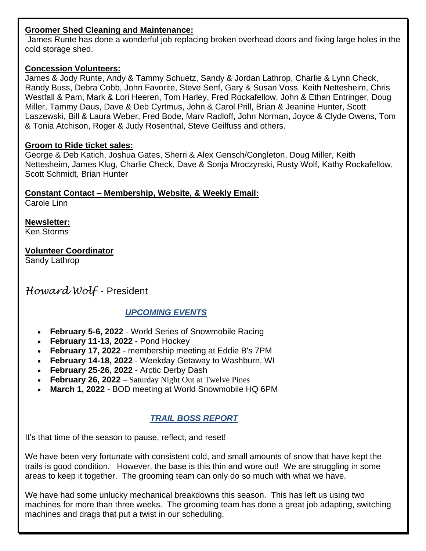### **Groomer Shed Cleaning and Maintenance:**

James Runte has done a wonderful job replacing broken overhead doors and fixing large holes in the cold storage shed.

#### **Concession Volunteers:**

James & Jody Runte, Andy & Tammy Schuetz, Sandy & Jordan Lathrop, Charlie & Lynn Check, Randy Buss, Debra Cobb, John Favorite, Steve Senf, Gary & Susan Voss, Keith Nettesheim, Chris Westfall & Pam, Mark & Lori Heeren, Tom Harley, Fred Rockafellow, John & Ethan Entringer, Doug Miller, Tammy Daus, Dave & Deb Cyrtmus, John & Carol Prill, Brian & Jeanine Hunter, Scott Laszewski, Bill & Laura Weber, Fred Bode, Marv Radloff, John Norman, Joyce & Clyde Owens, Tom & Tonia Atchison, Roger & Judy Rosenthal, Steve Geilfuss and others.

#### **Groom to Ride ticket sales:**

George & Deb Katich, Joshua Gates, Sherri & Alex Gensch/Congleton, Doug Miller, Keith Nettesheim, James Klug, Charlie Check, Dave & Sonja Mroczynski, Rusty Wolf, Kathy Rockafellow, Scott Schmidt, Brian Hunter

## **Constant Contact – Membership, Website, & Weekly Email:**

Carole Linn

**Newsletter:** Ken Storms

**Volunteer Coordinator** Sandy Lathrop

*Howard Wolf -* President

## *UPCOMING EVENTS*

- **February 5-6, 2022** World Series of Snowmobile Racing
- **February 11-13, 2022** Pond Hockey
- **February 17, 2022** membership meeting at Eddie B's 7PM
- **February 14-18, 2022** Weekday Getaway to Washburn, WI
- **February 25-26, 2022** Arctic Derby Dash
- **February 26, 2022**  Saturday Night Out at Twelve Pines
- **March 1, 2022** BOD meeting at World Snowmobile HQ 6PM

## *TRAIL BOSS REPORT*

It's that time of the season to pause, reflect, and reset!

We have been very fortunate with consistent cold, and small amounts of snow that have kept the trails is good condition. However, the base is this thin and wore out! We are struggling in some areas to keep it together. The grooming team can only do so much with what we have.

We have had some unlucky mechanical breakdowns this season. This has left us using two machines for more than three weeks. The grooming team has done a great job adapting, switching machines and drags that put a twist in our scheduling.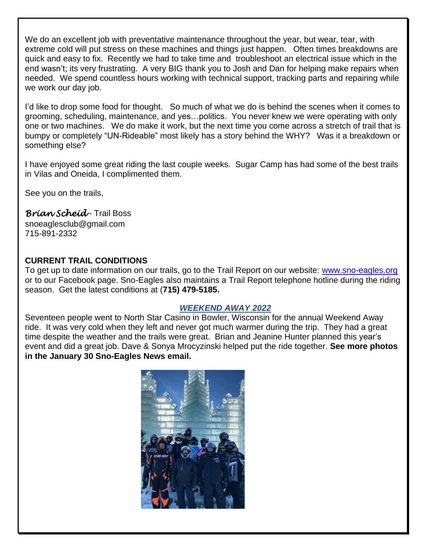We do an excellent job with preventative maintenance throughout the year, but wear, tear, with extreme cold will put stress on these machines and things just happen. Often times breakdowns are quick and easy to fix. Recently we had to take time and troubleshoot an electrical issue which in the end wasn't; its very frustrating. A very BIG thank you to Josh and Dan for helping make repairs when needed. We spend countless hours working with technical support, tracking parts and repairing while we work our day job.

I'd like to drop some food for thought. So much of what we do is behind the scenes when it comes to grooming, scheduling, maintenance, and yes…politics. You never knew we were operating with only one or two machines. We do make it work, but the next time you come across a stretch of trail that is bumpy or completely "UN-Rideable" most likely has a story behind the WHY? Was it a breakdown or something else?

I have enjoyed some great riding the last couple weeks. Sugar Camp has had some of the best trails in Vilas and Oneida, I complimented them.

See you on the trails,

## *Brian Scheid* - Trail Boss

snoeaglesclub@gmail.com 715-891-2332

## **CURRENT TRAIL CONDITIONS**

To get up to date information on our trails, go to the Trail Report on our website: [www.sno-eagles.org](http://www.sno-eagles.org/)  or to our Facebook page. Sno-Eagles also maintains a Trail Report telephone hotline during the riding season. Get the latest conditions at (**715) 479-5185.**

#### *WEEKEND AWAY 2022*

Seventeen people went to North Star Casino in Bowler, Wisconsin for the annual Weekend Away ride. It was very cold when they left and never got much warmer during the trip. They had a great time despite the weather and the trails were great. Brian and Jeanine Hunter planned this year's event and did a great job. Dave & Sonya Mrocyzinski helped put the ride together. **See more photos in the January 30 Sno-Eagles News email.**

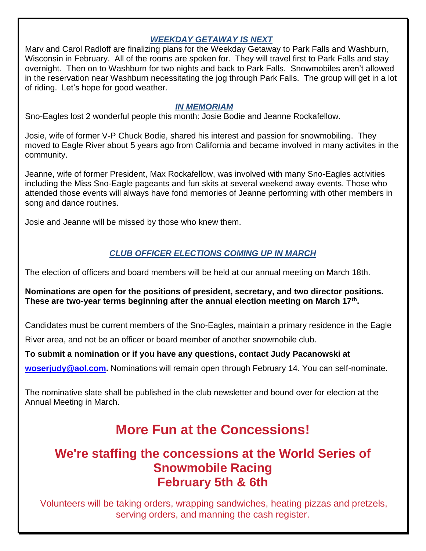## *WEEKDAY GETAWAY IS NEXT*

Marv and Carol Radloff are finalizing plans for the Weekday Getaway to Park Falls and Washburn, Wisconsin in February. All of the rooms are spoken for. They will travel first to Park Falls and stay overnight. Then on to Washburn for two nights and back to Park Falls. Snowmobiles aren't allowed in the reservation near Washburn necessitating the jog through Park Falls. The group will get in a lot of riding. Let's hope for good weather.

#### *IN MEMORIAM*

Sno-Eagles lost 2 wonderful people this month: Josie Bodie and Jeanne Rockafellow.

Josie, wife of former V-P Chuck Bodie, shared his interest and passion for snowmobiling. They moved to Eagle River about 5 years ago from California and became involved in many activites in the community.

Jeanne, wife of former President, Max Rockafellow, was involved with many Sno-Eagles activities including the Miss Sno-Eagle pageants and fun skits at several weekend away events. Those who attended those events will always have fond memories of Jeanne performing with other members in song and dance routines.

Josie and Jeanne will be missed by those who knew them.

## *CLUB OFFICER ELECTIONS COMING UP IN MARCH*

The election of officers and board members will be held at our annual meeting on March 18th.

**Nominations are open for the positions of president, secretary, and two director positions. These are two-year terms beginning after the annual election meeting on March 17th .**

Candidates must be current members of the Sno-Eagles, maintain a primary residence in the Eagle

River area, and not be an officer or board member of another snowmobile club.

**To submit a nomination or if you have any questions, contact Judy Pacanowski at** 

**[woserjudy@aol.com.](about:blank)** Nominations will remain open through February 14. You can self-nominate.

The nominative slate shall be published in the club newsletter and bound over for election at the Annual Meeting in March.

# **More Fun at the Concessions!**

# **We're staffing the concessions at the World Series of Snowmobile Racing February 5th & 6th**

Volunteers will be taking orders, wrapping sandwiches, heating pizzas and pretzels, serving orders, and manning the cash register.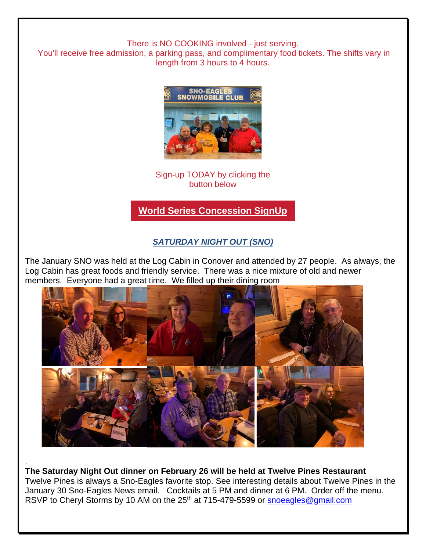There is NO COOKING involved - just serving.

You'll receive free admission, a parking pass, and complimentary food tickets. The shifts vary in length from 3 hours to 4 hours.



Sign-up TODAY by clicking the button below

**[World Series Concession SignUp](https://r20.rs6.net/tn.jsp?f=001pf06coiOP8ZtGU3WKm6C1bgv2nEKmDkyPooISuApTuji1qNXqgdoWSu94XxhbAXNXW716-mJhO1UR212KLlHb8t9aRawaRo3-B6mf2B5n2YnkThmOH2CgC0O6roabqJaqlxgpKhv0ipKMaaZjBguya5eH90cAUd9kqENfELEb2fuDPfqZ7iH2GtJHlOs20j_&c=0iZt21RogvC6YA4p02ho8YPOrtR2Lvfk1_bEI4WIrdo15ZV3HHtOIg==&ch=fXGn5Z2fjEgiqShCGvh8XFIw5Uke76q406nbg9RgQmfVT1E04qjMLA==)**

## *SATURDAY NIGHT OUT (SNO)*

The January SNO was held at the Log Cabin in Conover and attended by 27 people. As always, the Log Cabin has great foods and friendly service. There was a nice mixture of old and newer members. Everyone had a great time. We filled up their dining room



**The Saturday Night Out dinner on February 26 will be held at Twelve Pines Restaurant** Twelve Pines is always a Sno-Eagles favorite stop. See interesting details about Twelve Pines in the January 30 Sno-Eagles News email. Cocktails at 5 PM and dinner at 6 PM. Order off the menu. RSVP to Cheryl Storms by 10 AM on the 25<sup>th</sup> at 715-479-5599 or [snoeagles@gmail.com](mailto:snoeagles@gmail.com)

.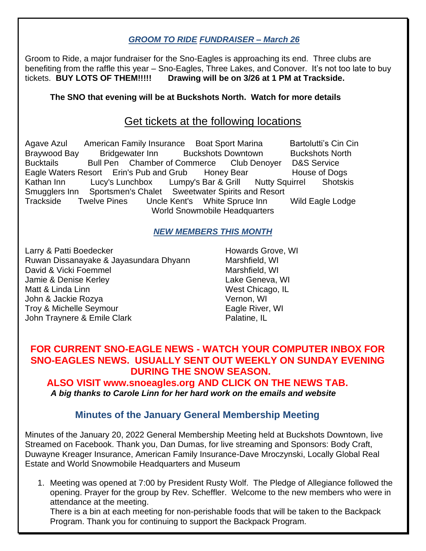## *GROOM TO RIDE FUNDRAISER – March 26*

Groom to Ride, a major fundraiser for the Sno-Eagles is approaching its end. Three clubs are benefiting from the raffle this year – Sno-Eagles, Three Lakes, and Conover. It's not too late to buy tickets. **BUY LOTS OF THEM!!!!! Drawing will be on 3/26 at 1 PM at Trackside.** 

## **The SNO that evening will be at Buckshots North. Watch for more details**

## Get tickets at the following locations

Agave Azul American Family Insurance Boat Sport Marina Bartolutti's Cin Cin Braywood Bay Bridgewater Inn Buckshots Downtown Buckshots North Bucktails Bull Pen Chamber of Commerce Club Denoyer D&S Service Eagle Waters Resort Erin's Pub and Grub Honey Bear House of Dogs Kathan Inn Lucy's Lunchbox Lumpy's Bar & Grill Nutty Squirrel Shotskis Smugglers Inn Sportsmen's Chalet Sweetwater Spirits and Resort Trackside Twelve Pines Uncle Kent's White Spruce Inn Wild Eagle Lodge World Snowmobile Headquarters

#### *NEW MEMBERS THIS MONTH*

Larry & Patti Boedecker **Howards Grove, WI** Ruwan Dissanayake & Jayasundara Dhyann Marshfield, WI David & Vicki Foemmel Marshfield, WI Jamie & Denise Kerley Lake Geneva, WI Matt & Linda Linn West Chicago, IL John & Jackie Rozya Vernon, WI Troy & Michelle Seymour **Eagle River, WI** John Traynere & Emile Clark **Palatine**, IL

## **FOR CURRENT SNO-EAGLE NEWS - WATCH YOUR COMPUTER INBOX FOR SNO-EAGLES NEWS. USUALLY SENT OUT WEEKLY ON SUNDAY EVENING DURING THE SNOW SEASON.**

## **ALSO VISIT www.snoeagles.org AND CLICK ON THE NEWS TAB.**  *A big thanks to Carole Linn for her hard work on the emails and website*

## **Minutes of the January General Membership Meeting**

Minutes of the January 20, 2022 General Membership Meeting held at Buckshots Downtown, live Streamed on Facebook. Thank you, Dan Dumas, for live streaming and Sponsors: Body Craft, Duwayne Kreager Insurance, American Family Insurance-Dave Mroczynski, Locally Global Real Estate and World Snowmobile Headquarters and Museum

1. Meeting was opened at 7:00 by President Rusty Wolf. The Pledge of Allegiance followed the opening. Prayer for the group by Rev. Scheffler. Welcome to the new members who were in attendance at the meeting.

There is a bin at each meeting for non-perishable foods that will be taken to the Backpack Program. Thank you for continuing to support the Backpack Program.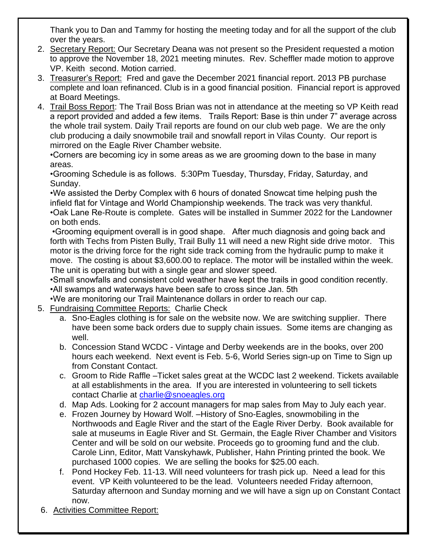Thank you to Dan and Tammy for hosting the meeting today and for all the support of the club over the years.

- 2. Secretary Report: Our Secretary Deana was not present so the President requested a motion to approve the November 18, 2021 meeting minutes. Rev. Scheffler made motion to approve VP. Keith second. Motion carried.
- 3. Treasurer's Report: Fred and gave the December 2021 financial report. 2013 PB purchase complete and loan refinanced. Club is in a good financial position. Financial report is approved at Board Meetings.
- 4. Trail Boss Report: The Trail Boss Brian was not in attendance at the meeting so VP Keith read a report provided and added a few items. Trails Report: Base is thin under 7" average across the whole trail system. Daily Trail reports are found on our club web page. We are the only club producing a daily snowmobile trail and snowfall report in Vilas County. Our report is mirrored on the Eagle River Chamber website.

•Corners are becoming icy in some areas as we are grooming down to the base in many areas.

•Grooming Schedule is as follows. 5:30Pm Tuesday, Thursday, Friday, Saturday, and Sunday.

•We assisted the Derby Complex with 6 hours of donated Snowcat time helping push the infield flat for Vintage and World Championship weekends. The track was very thankful. •Oak Lane Re-Route is complete. Gates will be installed in Summer 2022 for the Landowner on both ends.

•Grooming equipment overall is in good shape. After much diagnosis and going back and forth with Techs from Pisten Bully, Trail Bully 11 will need a new Right side drive motor. This motor is the driving force for the right side track coming from the hydraulic pump to make it move. The costing is about \$3,600.00 to replace. The motor will be installed within the week. The unit is operating but with a single gear and slower speed.

•Small snowfalls and consistent cold weather have kept the trails in good condition recently. •All swamps and waterways have been safe to cross since Jan. 5th

- •We are monitoring our Trail Maintenance dollars in order to reach our cap.
- 5. Fundraising Committee Reports: Charlie Check
	- a. Sno-Eagles clothing is for sale on the website now. We are switching supplier. There have been some back orders due to supply chain issues. Some items are changing as well.
	- b. Concession Stand WCDC Vintage and Derby weekends are in the books, over 200 hours each weekend. Next event is Feb. 5-6, World Series sign-up on Time to Sign up from Constant Contact.
	- c. Groom to Ride Raffle –Ticket sales great at the WCDC last 2 weekend. Tickets available at all establishments in the area. If you are interested in volunteering to sell tickets contact Charlie at [charlie@snoeagles.org](about:blank)
	- d. Map Ads. Looking for 2 account managers for map sales from May to July each year.
	- e. Frozen Journey by Howard Wolf. –History of Sno-Eagles, snowmobiling in the Northwoods and Eagle River and the start of the Eagle River Derby. Book available for sale at museums in Eagle River and St. Germain, the Eagle River Chamber and Visitors Center and will be sold on our website. Proceeds go to grooming fund and the club. Carole Linn, Editor, Matt Vanskyhawk, Publisher, Hahn Printing printed the book. We purchased 1000 copies. We are selling the books for \$25.00 each.
	- f. Pond Hockey Feb. 11-13. Will need volunteers for trash pick up. Need a lead for this event. VP Keith volunteered to be the lead. Volunteers needed Friday afternoon, Saturday afternoon and Sunday morning and we will have a sign up on Constant Contact now.
- 6. Activities Committee Report: